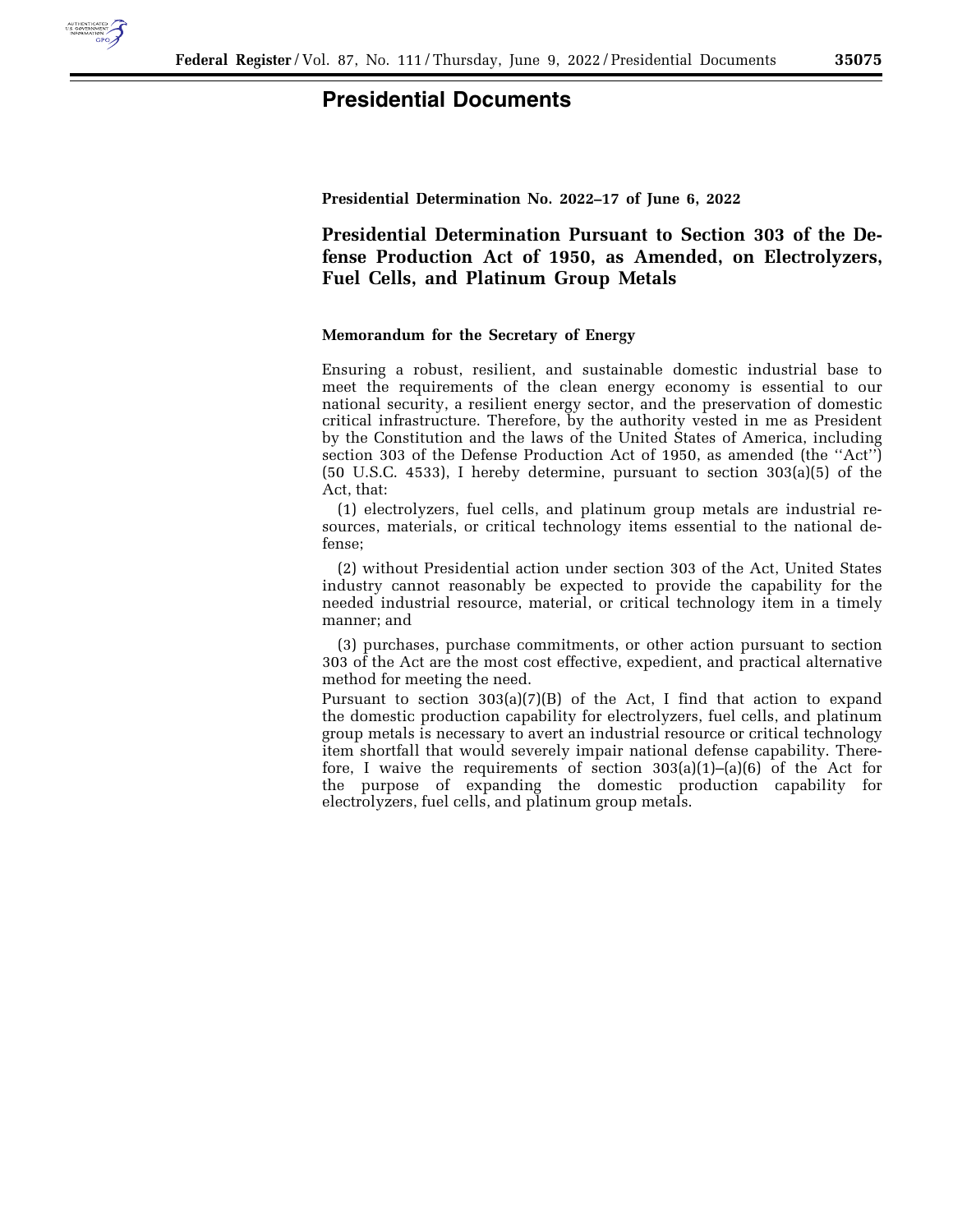

## **Presidential Documents**

**Presidential Determination No. 2022–17 of June 6, 2022** 

**Presidential Determination Pursuant to Section 303 of the Defense Production Act of 1950, as Amended, on Electrolyzers, Fuel Cells, and Platinum Group Metals** 

## **Memorandum for the Secretary of Energy**

Ensuring a robust, resilient, and sustainable domestic industrial base to meet the requirements of the clean energy economy is essential to our national security, a resilient energy sector, and the preservation of domestic critical infrastructure. Therefore, by the authority vested in me as President by the Constitution and the laws of the United States of America, including section 303 of the Defense Production Act of 1950, as amended (the ''Act'') (50 U.S.C. 4533), I hereby determine, pursuant to section 303(a)(5) of the Act, that:

(1) electrolyzers, fuel cells, and platinum group metals are industrial resources, materials, or critical technology items essential to the national defense;

(2) without Presidential action under section 303 of the Act, United States industry cannot reasonably be expected to provide the capability for the needed industrial resource, material, or critical technology item in a timely manner; and

(3) purchases, purchase commitments, or other action pursuant to section 303 of the Act are the most cost effective, expedient, and practical alternative method for meeting the need.

Pursuant to section  $303(a)(7)(B)$  of the Act, I find that action to expand the domestic production capability for electrolyzers, fuel cells, and platinum group metals is necessary to avert an industrial resource or critical technology item shortfall that would severely impair national defense capability. Therefore, I waive the requirements of section  $303(a)(1)$ – $(a)(6)$  of the Act for the purpose of expanding the domestic production capability for electrolyzers, fuel cells, and platinum group metals.